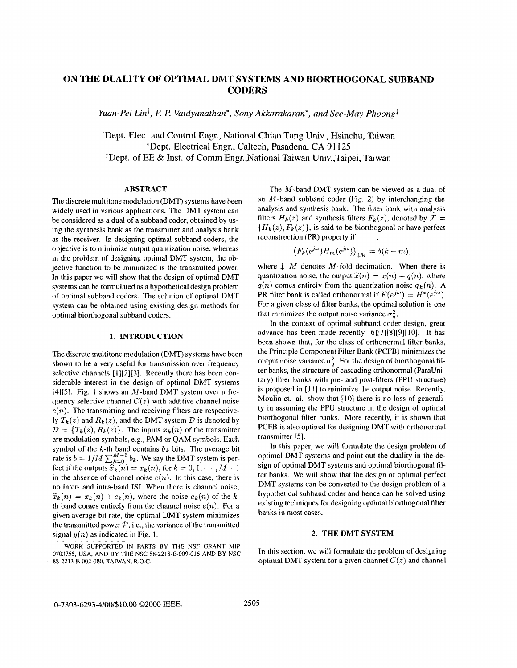# **ON THE DUALITY OF OPTIMAL DMT SYSTEMS AND BIORTHOGONAL SUBBAND CODERS**

*Yuan-Pei Lin<sup>t</sup>, P. P. Vaidyanathan<sup>\*</sup>, Sony Akkarakaran<sup>\*</sup>, and See-May Phoong<sup>†</sup>* 

+Dept. Elec. and Control Engr., National Chiao Tung Univ., Hsinchu, Taiwan \*Dept. Electrical Engr., Caltech, Pasadena, CA 91 **125**  <sup>‡</sup>Dept. of EE & Inst. of Comm Engr., National Taiwan Univ., Taipei, Taiwan

### **ABSTRACT**

The discrete multitone modulation (DMT) systems have been widely used in various applications. The DMT system can be considered as a dual of a subband coder, obtained by using the synthesis bank as the transmitter and analysis bank as the receiver. In designing optimal subband coders, the objective is to minimize output quantization noise, whereas in the problem of designing optimal DMT system, the objective function to be minimized is the transmitted power. In this paper we will show that the design of optimal DMT systems can be formulated as a hypothetical design problem of optimal subband coders. The solution of optimal DMT system can be obtained using existing design methods for optimal biorthogonal subband coders.

#### **1. INTRODUCTION**

The discrete multitone modulation (DMT) systems have been shown to be a very useful for transmission over frequency selective channels [1][2][3]. Recently there has been considerable interest in the design of optimal DMT systems [4][5]. Fig. 1 shows an  $M$ -band DMT system over a frequency selective channel  $C(z)$  with additive channel noise  $e(n)$ . The transmitting and receiving filters are respectively  $T_k(z)$  and  $R_k(z)$ , and the DMT system  $\mathcal D$  is denoted by  $\mathcal{D} = \{T_k(z), R_k(z)\}\$ . The inputs  $x_k(n)$  of the transmitter are modulation symbols, e.g., PAM or QAM symbols. Each symbol of the  $k$ -th band contains  $b_k$  bits. The average bit rate is  $b = 1/M \sum_{k=0}^{M-1} b_k$ . We say the DMT system is perfect if the outputs  $\hat{x}_k(n) = x_k(n)$ , for  $k = 0, 1, \dots, M - 1$ in the absence of channel noise  $e(n)$ . In this case, there is no inter- and intra-band ISI. When there is channel noise,  $\hat{x}_k(n) = x_k(n) + e_k(n)$ , where the noise  $e_k(n)$  of the *k*th band comes entirely from the channel noise  $e(n)$ . For a given average bit rate, the optimal DMT system minimizes the transmitted power  $P$ , i.e., the variance of the transmitted signal  $y(n)$  as indicated in Fig. 1.

The M-band DMT system can be viewed as a dual of an  $M$ -band subband coder (Fig. 2) by interchanging the analysis and synthesis bank. The filter bank with analysis filters  $H_k(z)$  and synthesis filters  $F_k(z)$ , denoted by  $\mathcal{F} =$  ${H_k(z), F_k(z)}$ , is said to be biorthogonal or have perfect reconstruction (PR) property if

$$
(F_k(e^{j\omega})H_m(e^{j\omega}))_{\perp M}=\delta(k-m),
$$

where  $\downarrow$  M denotes M-fold decimation. When there is quantization noise, the output  $\hat{x}(n) = x(n) + q(n)$ , where  $q(n)$  comes entirely from the quantization noise  $q_k(n)$ . A PR filter bank is called orthonormal if  $F(e^{j\omega}) = H^*(e^{j\omega})$ . For a given class of filter banks, the optimal solution is one that minimizes the output noise variance  $\sigma_a^2$ .

In the context of optimal subband coder design, great advance has been made recently *[6][7][8][9][* 101. It has been shown that, for the class of orthonormal filter banks, the Principle Component Filter Bank (PCFB) minimizes the output noise variance  $\sigma_q^2$ . For the design of biorthogonal filter banks, the structure of cascading orthonormal (ParaUnitary) filter banks with pre- and post-filters (PPU structure) **is** proposed in [ **1** I] to minimize the output noise. Recently, Moulin et. al. show that [IO] there is no loss of generality in assuming the PPU structure in the design of optimal biorthogonal filter banks. More recently, it is shown that PCFB is also optimal for designing DMT with orthonormal transmitter *[5].* 

In this paper, we will formulate the design problem of optimal DMT systems and point out the duality in the design of optimal DMT systems and optimal biorthogonal filter banks. We will show that the design of optimal perfect DMT systems can be converted to the design problem of a hypothetical subband coder and hence can be solved using existing techniques for designing optimal biorthogonal filter banks in most cases.

### **2. THE DMT SYSTEM**

In this section, we will formulate the problem of designing optimal DMT system for a given channel *C(z)* and channel

WORK SUPPORTED IN PARTS BY THE NSF GRANT MIP 0703755, USA, AND BY THE NSC 88-2218-E-009-016 AND BY NSC 88-2213-E-002-080. TAIWAN, R.O.C.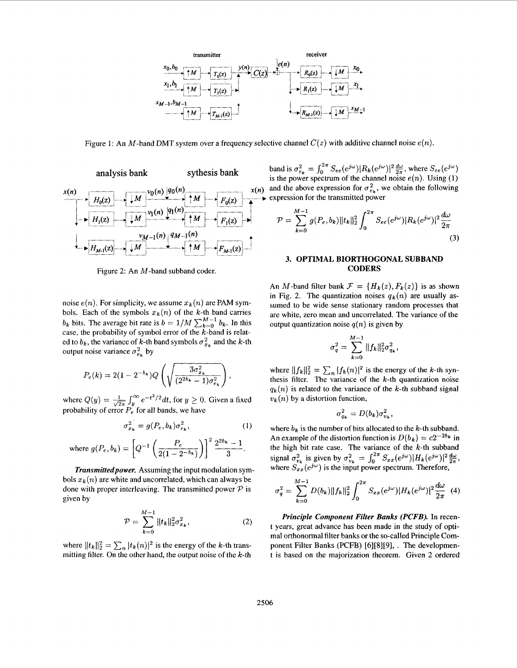

Figure 1: An M-band DMT system over a frequency selective channel  $C(z)$  with additive channel noise  $e(n)$ .



Figure 2: An M-band subband coder.

noise  $e(n)$ . For simplicity, we assume  $x_k(n)$  are PAM symbols. Each of the symbols  $x_k(n)$  of the k-th band carries *b<sub>k</sub>* bits. The average bit rate is  $b = 1/M \sum_{k=0}^{M-1} b_k$ . In this case, the probability of symbol error of the  $k$ -band is related to  $b_k$ , the variance of k-th band symbols  $\sigma_{x_k}^2$  and the k-th output noise variance  $\sigma_{e_k}^2$  by

$$
P_e(k) = 2(1 - 2^{-b_k})Q\left(\sqrt{\frac{3\sigma_{x_k}^2}{(2^{2b_k} - 1)\sigma_{e_k}^2}}\right),
$$

where  $Q(y) =$ probability of error  $P_e$  for all bands, we have  $\int_{u}^{\infty} e^{-t^2/2} dt$ , for  $y \ge 0$ . Given a fixed

$$
\sigma_{x_k}^2 = g(P_e, b_k) \sigma_{e_k}^2, \qquad (1)
$$

where 
$$
g(P_e, b_k) = \left[Q^{-1}\left(\frac{P_e}{2(1-2^{-b_k})}\right)\right]^2 \frac{2^{2b_k}-1}{3}
$$
.

*Transmitted power.* Assuming the input modulation symbols  $x_k(n)$  are white and uncorrelated, which can always be done with proper interleaving. The transmitted power *P* is given by

$$
\mathcal{P} = \sum_{k=0}^{M-1} ||t_k||_2^2 \sigma_{x_k}^2, \qquad (2)
$$

where  $||t_k||_2^2 = \sum_n |t_k(n)|^2$  is the energy of the k-th transmitting filter. On the other hand, the output noise of the  $k$ -th

band is  $\sigma_{e_k}^2 = \int_0^{2\pi} S_{ee}(e^{j\omega}) |R_k(e^{j\omega})|^2 \frac{d\omega}{2\pi}$ , where  $S_{ee}(e^{j\omega})$ is the power spectrum of the channel noise  $e(n)$ . Using (1)  $x(n)$  and the above expression for  $\sigma_{e_k}^2$ , we obtain the following  $\triangleright$  expression for the transmitted power

$$
\mathcal{P} = \sum_{k=0}^{M-1} g(P_e, b_k) ||t_k||_2^2 \int_0^{2\pi} S_{ee}(e^{j\omega}) |R_k(e^{j\omega})|^2 \frac{d\omega}{2\pi}
$$
\n(3)

# **3. OPTIMAL BIORTHOGONAL SUBBAND CODERS**

An M-band filter bank  $\mathcal{F} = \{H_k(z), F_k(z)\}\$ is as shown in Fig. 2. The quantization noises  $q_k(n)$  are usually assumed to be wide sense stationary random processes that are white, zero mean and uncorrelated. The variance of the output quantization noise  $q(n)$  is given by

$$
\sigma_q^2 = \sum_{k=0}^{M-1} ||f_k||_2^2 \sigma_{q_k}^2,
$$

where  $||f_k||_2^2 = \sum_n |f_k(n)|^2$  is the energy of the *k*-th synthesis filter. The variance of the  $k$ -th quantization noise  $q_k(n)$  is related to the variance of the k-th subband signal  $v_k(n)$  by a distortion function,

$$
\sigma_{q_k}^2 = D(b_k) \sigma_{v_k}^2,
$$

where  $b_k$  is the number of bits allocated to the  $k$ -th subband. An example of the distortion function is  $D(b_k) = c2^{-2b_k}$  in the high bit rate case. The variance of the  $k$ -th subband signal  $\sigma_{v_k}^2$  is given by  $\sigma_{v_k}^2 = \int_0^{2\pi} S_{xx}(e^{j\omega}) |H_k(e^{j\omega})|^2 \frac{d\omega}{2\pi}$ , where  $S_{xx}(e^{j\omega})$  is the input power spectrum. Therefore,

$$
\sigma_q^2 = \sum_{k=0}^{M-1} D(b_k) ||f_k||_2^2 \int_0^{2\pi} S_{xx}(e^{j\omega}) |H_k(e^{j\omega})|^2 \frac{d\omega}{2\pi} \tag{4}
$$

*Principle Component Filter Banks (PCFB).* In recent years, great advance has been made in the study of optimal orthonormal filter banks or the so-called Principle Component Filter Banks (PCFB) *[6][8][9],* . The development is based on the majorization theorem. Given 2 ordered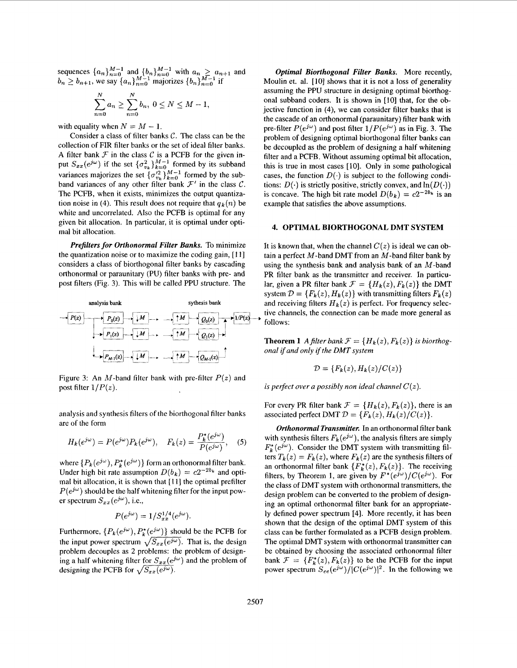sequences  ${a_n}_{n=0}^{M-1}$  and  ${b_n}_{n=0}^{M-1}$  with  $a_n \ge a_{n+1}$  and  $b_n \ge b_{n+1}$ , we say  $\{a_n\}_{n=0}^{M-1}$  majorizes  $\{b_n\}_{n=0}^{M-1}$  if

$$
\sum_{n=0}^{N} a_n \ge \sum_{n=0}^{N} b_n, \ 0 \le N \le M-1,
$$

with equality when  $N = M - 1$ .

Consider a class of filter banks C. The class can be the collection of FIR filter banks or the set of ideal filter banks. A filter bank  $F$  in the class  $C$  is a PCFB for the given input  $S_{xx}(e^{j\omega})$  if the set  $\{\sigma_{v_k}^2\}_{k=0}^{M-1}$  formed by its subband variances majorizes the set  $\{\sigma_{\nu_k}^{i2}\}_{k=0}^{M-1}$  formed by the subband variances of any other filter bank  $\mathcal{F}'$  in the class  $\mathcal{C}$ . The PCFB, when it exists, minimizes the output quantization noise in (4). This result does not require that  $q_k(n)$  be white and uncorrelated. Also the PCFB is optimal for any given bit allocation. In particular, it is optimal under optimal bit allocation.

*Prefilters for Orthonormal Filter Banks.* To minimize the quantization noise or to maximize the coding gain, [ **1 13**  considers a class of biorthogonal filter banks by cascading orthonormal or paraunitary (PU) filter banks with pre- and post filters (Fig. 3). This will be called PPU structure. The



Figure 3: An M-band filter bank with pre-filter  $P(z)$  and post filter  $1/P(z)$ .

analysis and synthesis filters of the biorthogonal filter banks are of the form

$$
H_k(e^{j\omega}) = P(e^{j\omega})P_k(e^{j\omega}), \quad F_k(z) = \frac{P_k^*(e^{j\omega})}{P(e^{j\omega})}, \quad (5)
$$

where  $\{P_k(e^{j\omega}), P_k^*(e^{j\omega})\}$  form an orthonormal filter bank. Under high bit rate assumption  $D(b_k) = c2^{-2b_k}$  and optimal bit allocation, it is shown that  $[11]$  the optimal prefilter  $P(e^{j\omega})$  should be the half whitening filter for the input power spectrum  $S_{xx}(e^{j\omega})$ , *i.e.*,

$$
P(e^{j\omega}) = 1/S_{xx}^{1/4}(e^{j\omega}).
$$

Furthermore,  $\{P_k(e^{j\omega}), P_k^*(e^{j\omega})\}$  should be the PCFB for the input power spectrum  $\sqrt{S_{xx}(e^{j\omega})}$ . That is, the design problem decouples as 2 problems: the problem of designing a half whitening filter for  $S_{xx}(e^{j\omega})$  and the problem of designing the PCFB for  $\sqrt{S_{xx}(e^{j\omega})}$ .

*Optimal Biorthogonal Filter Banks.* More recently, Moulin et. al. [10] shows that it is not a loss of generality assuming the PPU structure in designing optimal biorthogonal subband coders. It is shown in **[IO]** that, for the objective function in **(4),** we can consider filter banks that is the cascade of an orthonormal (paraunitary) filter bank with pre-filter  $P(e^{j\omega})$  and post filter  $1/P(e^{j\omega})$  as in Fig. 3. The problem of designing optimal biorthogonal filter banks can be decoupled as the problem of designing a half whitening filter and a PCFB. Without assuming optimal bit allocation, this is true in most cases [10]. Only in some pathological cases, the function  $D(\cdot)$  is subject to the following conditions:  $D(\cdot)$  is strictly positive, strictly convex, and  $\ln(D(\cdot))$ is concave. The high bit rate model  $D(b_k) = c2^{-2b_k}$  is an example that satisfies the above assumptions.

#### **4. OPTIMAL BIORTHOGONAL DMT SYSTEM**

It is known that, when the channel  $C(z)$  is ideal we can obtain a perfect  $M$ -band DMT from an  $M$ -band filter bank by using the synthesis bank and analysis bank of an  $M$ -band PR filter bank as the transmitter and receiver. In particular, given a PR filter bank  $\mathcal{F} = \{H_k(z), F_k(z)\}\$  the DMT system  $\mathcal{D} = \{F_k(z), H_k(z)\}\$  with transmitting filters  $F_k(z)$ and receiving filters  $H_k(z)$  is perfect. For frequency selective channels, the connection can be made more general as follows:

**Theorem 1** *A* filter bank  $\mathcal{F} = \{H_k(z), F_k(z)\}\$  is biorthog*onal if and only if the DMT system* 

$$
\mathcal{D} = \{F_k(z), H_k(z)/C(z)\}
$$

*is perfect over a possibly non ideal channel*  $C(z)$ *.* 

For every PR filter bank  $\mathcal{F} = \{H_k(z), F_k(z)\}\$ , there is an associated perfect DMT  $\mathcal{D} = \{F_k(z), H_k(z)/C(z)\}.$ 

*Orthonormal Transmitter.* In an orthonormal filter bank with synthesis filters  $F_k(e^{j\omega})$ , the analysis filters are simply  $F_{\mu}^{*}(e^{j\omega})$ . Consider the DMT system with transmitting filters  $T_k(z) = F_k(z)$ , where  $F_k(z)$  are the synthesis filters of an orthonormal filter bank  $\{F_k^*(z), F_k(z)\}$ . The receiving filters, by Theorem 1, are given by  $F^*(e^{j\omega})/C(e^{j\omega})$ . For the class of DMT system with orthonormal transmitters, the design problem can be converted to the problem of designing an optimal orthonormal filter bank for an appropriately defined power spectrum [4]. More recently, it has been shown that the design of the optimal DMT system of this class can be further formulated as a PCFB design problem. The optimal DMT system with orthonormal transmitter can be obtained by choosing the associated orthonormal filter bank  $\mathcal{F} = \{F_k^*(z), F_k(z)\}\$ to be the PCFB for the input power spectrum  $S_{ee}(e^{j\omega})/|C(e^{j\omega})|^2$ . In the following we